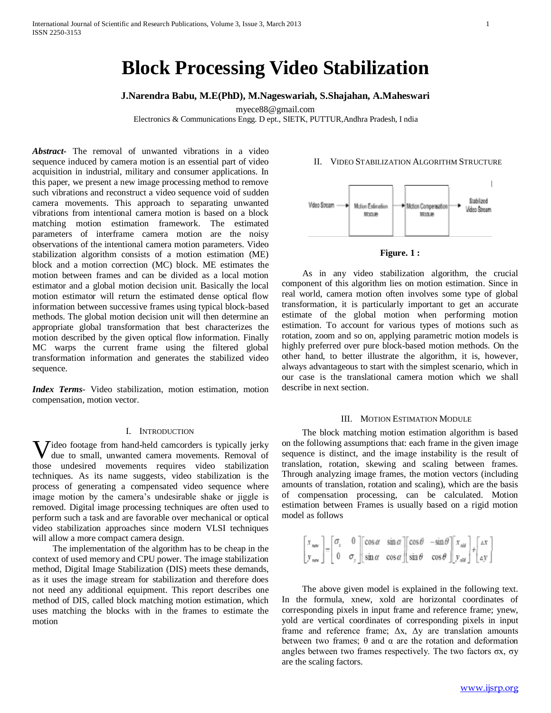# **Block Processing Video Stabilization**

## **J.Narendra Babu, M.E(PhD), M.Nageswariah, S.Shajahan, A.Maheswari**

myece88@gmail.com

Electronics & Communications Engg. D ept., SIETK, PUTTUR,Andhra Pradesh, I ndia

*Abstract***-** The removal of unwanted vibrations in a video sequence induced by camera motion is an essential part of video acquisition in industrial, military and consumer applications. In this paper, we present a new image processing method to remove such vibrations and reconstruct a video sequence void of sudden camera movements. This approach to separating unwanted vibrations from intentional camera motion is based on a block matching motion estimation framework. The estimated parameters of interframe camera motion are the noisy observations of the intentional camera motion parameters. Video stabilization algorithm consists of a motion estimation (ME) block and a motion correction (MC) block. ME estimates the motion between frames and can be divided as a local motion estimator and a global motion decision unit. Basically the local motion estimator will return the estimated dense optical flow information between successive frames using typical block-based methods. The global motion decision unit will then determine an appropriate global transformation that best characterizes the motion described by the given optical flow information. Finally MC warps the current frame using the filtered global transformation information and generates the stabilized video sequence.

*Index Terms*- Video stabilization, motion estimation, motion compensation, motion vector.

#### I. INTRODUCTION

**V** ideo footage from hand-held camcorders is typically jerky due to small, unwanted camera movements. Removal of due to small, unwanted camera movements. Removal of those undesired movements requires video stabilization techniques. As its name suggests, video stabilization is the process of generating a compensated video sequence where image motion by the camera's undesirable shake or jiggle is removed. Digital image processing techniques are often used to perform such a task and are favorable over mechanical or optical video stabilization approaches since modern VLSI techniques will allow a more compact camera design.

 The implementation of the algorithm has to be cheap in the context of used memory and CPU power. The image stabilization method, Digital Image Stabilization (DIS) meets these demands, as it uses the image stream for stabilization and therefore does not need any additional equipment. This report describes one method of DIS, called block matching motion estimation, which uses matching the blocks with in the frames to estimate the motion

#### II. VIDEO STABILIZATION ALGORITHM STRUCTURE



#### **Figure. 1 :**

 As in any video stabilization algorithm, the crucial component of this algorithm lies on motion estimation. Since in real world, camera motion often involves some type of global transformation, it is particularly important to get an accurate estimate of the global motion when performing motion estimation. To account for various types of motions such as rotation, zoom and so on, applying parametric motion models is highly preferred over pure block-based motion methods. On the other hand, to better illustrate the algorithm, it is, however, always advantageous to start with the simplest scenario, which in our case is the translational camera motion which we shall describe in next section.

#### III. MOTION ESTIMATION MODULE

 The block matching motion estimation algorithm is based on the following assumptions that: each frame in the given image sequence is distinct, and the image instability is the result of translation, rotation, skewing and scaling between frames. Through analyzing image frames, the motion vectors (including amounts of translation, rotation and scaling), which are the basis of compensation processing, can be calculated. Motion estimation between Frames is usually based on a rigid motion model as follows

$$
\begin{bmatrix} x_{\text{new}} \\ y_{\text{new}} \end{bmatrix} = \begin{bmatrix} \sigma_z & 0 \\ 0 & \sigma_z \end{bmatrix} \begin{bmatrix} \cos \alpha & \sin \alpha \\ \sin \alpha & \cos \alpha \end{bmatrix} \begin{bmatrix} \cos \theta & -\sin \theta \\ \sin \theta & \cos \theta \end{bmatrix} \begin{bmatrix} x_{\text{old}} \\ y_{\text{old}} \end{bmatrix} + \begin{bmatrix} \Delta x \\ \Delta y \end{bmatrix}
$$

 The above given model is explained in the following text. In the formula, xnew, xold are horizontal coordinates of corresponding pixels in input frame and reference frame; ynew, yold are vertical coordinates of corresponding pixels in input frame and reference frame;  $\Delta x$ ,  $\Delta y$  are translation amounts between two frames;  $\theta$  and  $\alpha$  are the rotation and deformation angles between two frames respectively. The two factors σx, σy are the scaling factors.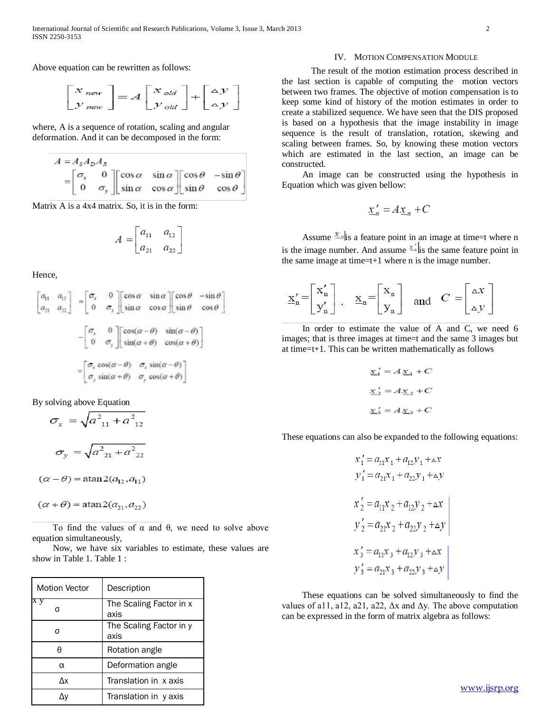Above equation can be rewritten as follows:

$$
\begin{bmatrix} x_{new} \\ y_{new} \end{bmatrix} = A \begin{bmatrix} x_{old} \\ y_{old} \end{bmatrix} + \begin{bmatrix} \Delta y \\ \Delta y \end{bmatrix}
$$

where, A is a sequence of rotation, scaling and angular deformation. And it can be decomposed in the form:

$$
A = A_s A_p A_R
$$
  
=  $\begin{bmatrix} \sigma_x & 0 \\ 0 & \sigma_y \end{bmatrix} \begin{bmatrix} \cos \alpha & \sin \alpha \\ \sin \alpha & \cos \alpha \end{bmatrix} \begin{bmatrix} \cos \theta & -\sin \theta \\ \sin \theta & \cos \theta \end{bmatrix}$ 

Matrix A is a 4x4 matrix. So, it is in the form:

$$
A = \begin{bmatrix} a_{11} & a_{12} \\ a_{21} & a_{22} \end{bmatrix}
$$

Hence,

$$
\begin{bmatrix} a_{11} & a_{12} \ a_{21} & a_{22} \end{bmatrix} = \begin{bmatrix} \sigma_x & 0 \ 0 & \sigma_y \end{bmatrix} \begin{bmatrix} \cos \alpha & \sin \alpha \ \sin \alpha & \cos \alpha \end{bmatrix} \begin{bmatrix} \cos \theta & -\sin \theta \ \sin \theta & \cos \theta \end{bmatrix}
$$

$$
- \begin{bmatrix} \sigma_x & 0 \ 0 & \sigma_y \end{bmatrix} \begin{bmatrix} \cos(\alpha - \theta) & \sin(\alpha - \theta) \\ \sin(\alpha + \theta) & \cos(\alpha + \theta) \end{bmatrix}
$$

$$
= \begin{bmatrix} \sigma_x \cos(\alpha - \theta) & \sigma_x \sin(\alpha - \theta) \\ \sigma_y \sin(\alpha + \theta) & \sigma_y \cos(\alpha + \theta) \end{bmatrix}
$$

By solving above Equation

$$
\sigma_x = \sqrt{a_{11}^2 + a_{12}^2}
$$

$$
\sigma_y = \sqrt{a_{21}^2 + a_{22}^2}
$$

$$
(\alpha - \theta) = \operatorname{atan2}(a_{12}, a_{11})
$$

$$
(\alpha + \theta) = \operatorname{atan2}(a_{21}, a_{22})
$$

 To find the values of α and θ, we need to solve above equation simultaneously,

 Now, we have six variables to estimate, these values are show in Table 1. Table 1 :

| <b>Motion Vector</b> | Description                     |
|----------------------|---------------------------------|
|                      | The Scaling Factor in x<br>axis |
|                      | The Scaling Factor in y<br>axis |
|                      | Rotation angle                  |
| α                    | Deformation angle               |
| Λx                   | Translation in x axis           |
|                      | Translation in y axis           |

#### IV. MOTION COMPENSATION MODULE

The result of the motion estimation process described in the last section is capable of computing the motion vectors between two frames. The objective of motion compensation is to keep some kind of history of the motion estimates in order to create a stabilized sequence. We have seen that the DIS proposed is based on a hypothesis that the image instability in image sequence is the result of translation, rotation, skewing and scaling between frames. So, by knowing these motion vectors which are estimated in the last section, an image can be constructed.

 An image can be constructed using the hypothesis in Equation which was given bellow:

$$
\underline{x}'_n = A \underline{x}_n + C
$$

Assume  $\frac{x}{n}$  is a feature point in an image at time=t where n is the image number. And assume  $\frac{d\mathbf{x}}{dt}$  is the same feature point in the same image at time=t+1 where  $n$  is the image number.

$$
\underline{\mathbf{x}}_n' = \begin{bmatrix} \mathbf{x}_n' \\ \mathbf{y}_n' \end{bmatrix}, \quad \underline{\mathbf{x}}_n = \begin{bmatrix} \mathbf{x}_n \\ \mathbf{y}_n \end{bmatrix} \quad \text{and} \quad C = \begin{bmatrix} \Delta x \\ \Delta y \end{bmatrix}
$$

 In order to estimate the value of A and C, we need 6 images; that is three images at time=t and the same 3 images but at time=t+1. This can be written mathematically as follows

$$
\underline{x}'_1 = A \underline{x}_1 + C
$$
  

$$
\underline{x}'_2 = A \underline{x}_2 + C
$$
  

$$
\underline{x}'_3 = A \underline{x}_3 + C
$$

These equations can also be expanded to the following equations:

$$
x'_{1} = a_{11}x_{1} + a_{12}y_{1} + \Delta x
$$
  
\n
$$
y'_{1} = a_{21}x_{1} + a_{22}y_{1} + \Delta y
$$
  
\n
$$
x'_{2} = a_{11}x_{2} + a_{12}y_{2} + \Delta x
$$
  
\n
$$
y'_{2} = a_{21}x_{2} + a_{22}y_{2} + \Delta y
$$
  
\n
$$
x'_{3} = a_{11}x_{3} + a_{12}y_{3} + \Delta x
$$
  
\n
$$
y'_{3} = a_{21}x_{3} + a_{22}y_{3} + \Delta y
$$

 These equations can be solved simultaneously to find the values of a11, a12, a21, a22,  $\Delta x$  and  $\Delta y$ . The above computation can be expressed in the form of matrix algebra as follows: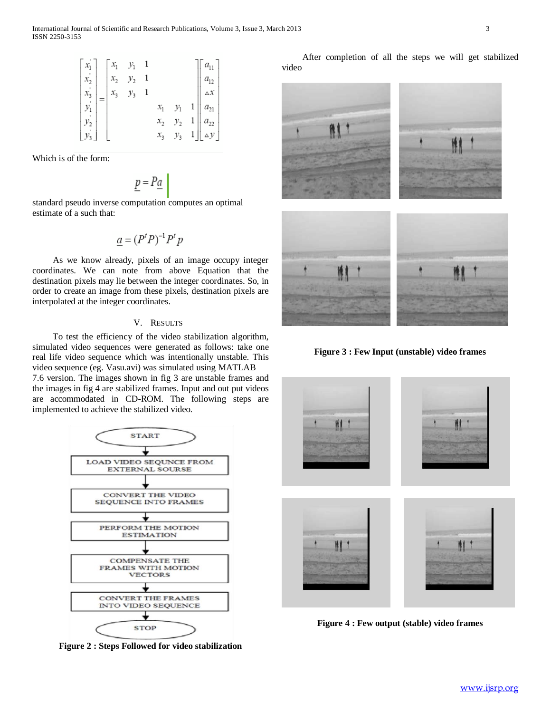Which is of the form:

$$
\underline{p} = P \underline{a}
$$

standard pseudo inverse computation computes an optimal estimate of a such that:

$$
\underline{a} = (P^t P)^{-1} P^t p
$$

 As we know already, pixels of an image occupy integer coordinates. We can note from above Equation that the destination pixels may lie between the integer coordinates. So, in order to create an image from these pixels, destination pixels are interpolated at the integer coordinates.

### V. RESULTS

 To test the efficiency of the video stabilization algorithm, simulated video sequences were generated as follows: take one real life video sequence which was intentionally unstable. This video sequence (eg. Vasu.avi) was simulated using MATLAB

7.6 version. The images shown in fig 3 are unstable frames and the images in fig 4 are stabilized frames. Input and out put videos are accommodated in CD-ROM. The following steps are implemented to achieve the stabilized video.



**Figure 2 : Steps Followed for video stabilization**

 After completion of all the steps we will get stabilized video



**Figure 3 : Few Input (unstable) video frames**



**Figure 4 : Few output (stable) video frames**